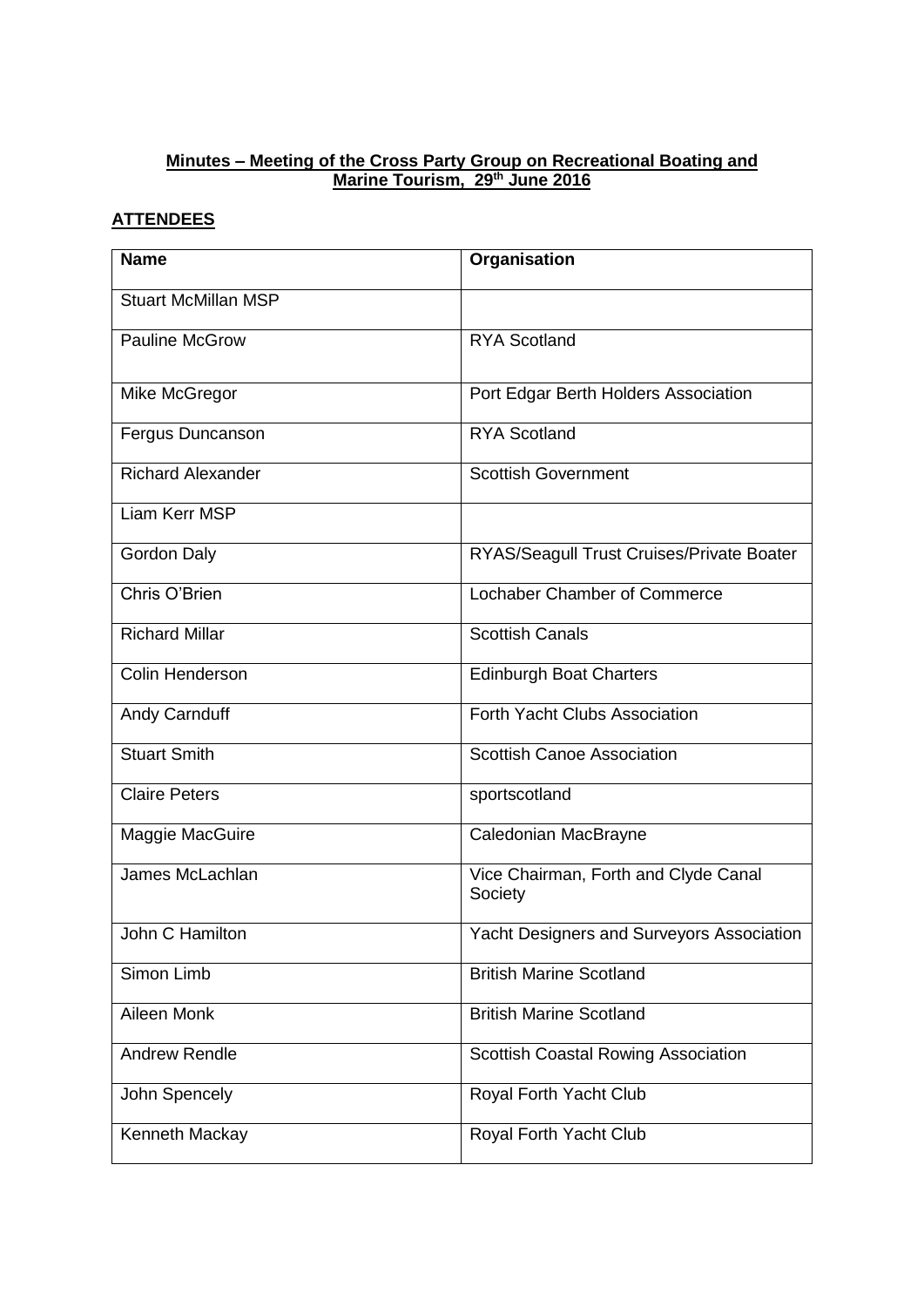## **Minutes – Meeting of the Cross Party Group on Recreational Boating and Marine Tourism, 29th June 2016**

# **ATTENDEES**

| <b>Name</b>                | Organisation                                     |
|----------------------------|--------------------------------------------------|
| <b>Stuart McMillan MSP</b> |                                                  |
| <b>Pauline McGrow</b>      | <b>RYA Scotland</b>                              |
| Mike McGregor              | Port Edgar Berth Holders Association             |
| Fergus Duncanson           | <b>RYA Scotland</b>                              |
| <b>Richard Alexander</b>   | <b>Scottish Government</b>                       |
| Liam Kerr MSP              |                                                  |
| <b>Gordon Daly</b>         | RYAS/Seagull Trust Cruises/Private Boater        |
| Chris O'Brien              | Lochaber Chamber of Commerce                     |
| <b>Richard Millar</b>      | <b>Scottish Canals</b>                           |
| Colin Henderson            | <b>Edinburgh Boat Charters</b>                   |
| Andy Carnduff              | Forth Yacht Clubs Association                    |
| <b>Stuart Smith</b>        | <b>Scottish Canoe Association</b>                |
| <b>Claire Peters</b>       | sportscotland                                    |
| Maggie MacGuire            | Caledonian MacBrayne                             |
| James McLachlan            | Vice Chairman, Forth and Clyde Canal<br>Society  |
| John C Hamilton            | <b>Yacht Designers and Surveyors Association</b> |
| Simon Limb                 | <b>British Marine Scotland</b>                   |
| Aileen Monk                | <b>British Marine Scotland</b>                   |
| <b>Andrew Rendle</b>       | <b>Scottish Coastal Rowing Association</b>       |
| John Spencely              | Royal Forth Yacht Club                           |
| Kenneth Mackay             | Royal Forth Yacht Club                           |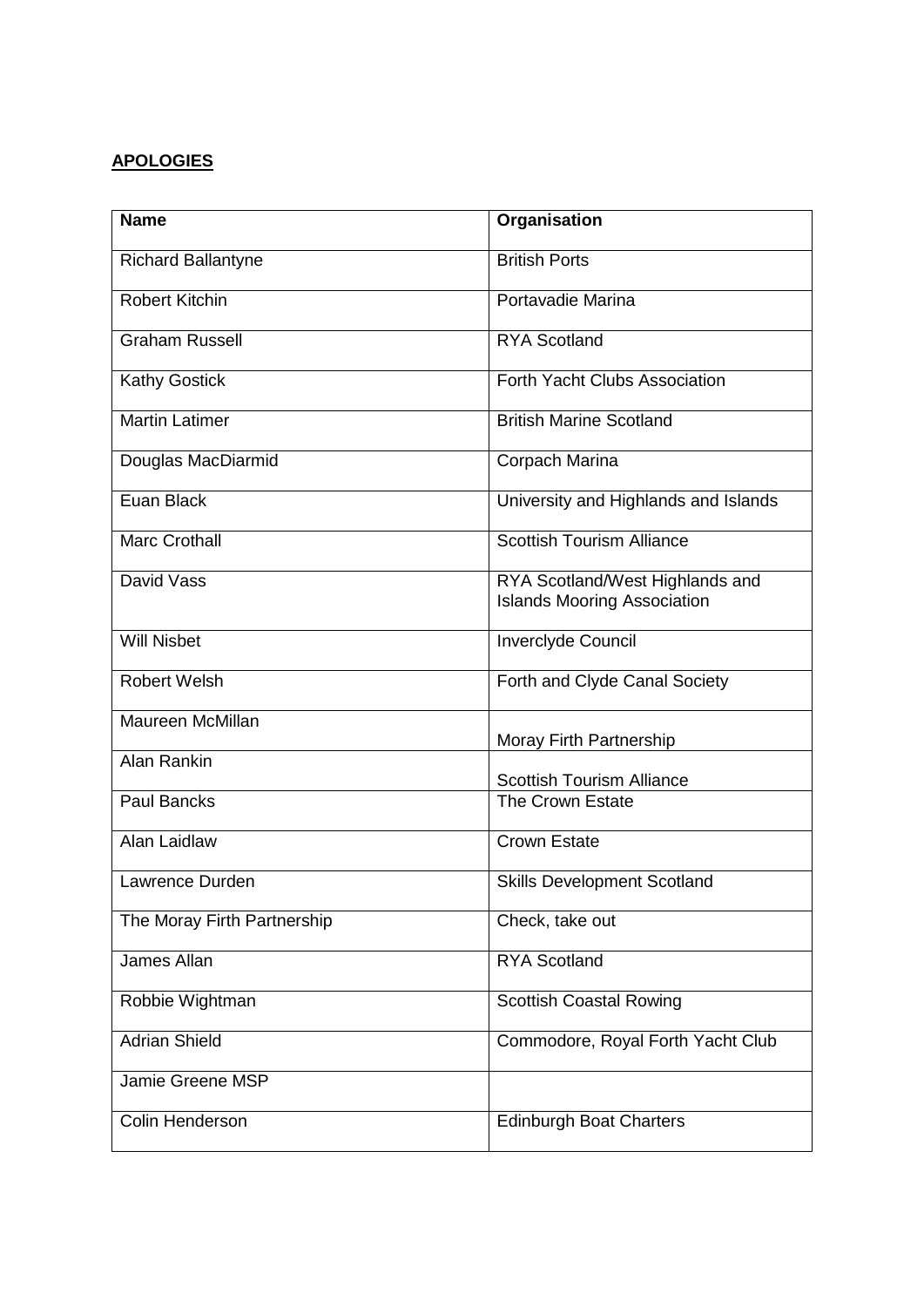# **APOLOGIES**

| <b>Name</b>                 | Organisation                                                          |
|-----------------------------|-----------------------------------------------------------------------|
| <b>Richard Ballantyne</b>   | <b>British Ports</b>                                                  |
| <b>Robert Kitchin</b>       | Portavadie Marina                                                     |
| <b>Graham Russell</b>       | <b>RYA Scotland</b>                                                   |
| <b>Kathy Gostick</b>        | Forth Yacht Clubs Association                                         |
| <b>Martin Latimer</b>       | <b>British Marine Scotland</b>                                        |
| Douglas MacDiarmid          | Corpach Marina                                                        |
| Euan Black                  | University and Highlands and Islands                                  |
| <b>Marc Crothall</b>        | <b>Scottish Tourism Alliance</b>                                      |
| David Vass                  | RYA Scotland/West Highlands and<br><b>Islands Mooring Association</b> |
| <b>Will Nisbet</b>          | Inverclyde Council                                                    |
| <b>Robert Welsh</b>         | Forth and Clyde Canal Society                                         |
| Maureen McMillan            | Moray Firth Partnership                                               |
| <b>Alan Rankin</b>          | <b>Scottish Tourism Alliance</b>                                      |
| <b>Paul Bancks</b>          | The Crown Estate                                                      |
| Alan Laidlaw                | <b>Crown Estate</b>                                                   |
| Lawrence Durden             | <b>Skills Development Scotland</b>                                    |
| The Moray Firth Partnership | Check, take out                                                       |
| James Allan                 | <b>RYA Scotland</b>                                                   |
| Robbie Wightman             | <b>Scottish Coastal Rowing</b>                                        |
| <b>Adrian Shield</b>        | Commodore, Royal Forth Yacht Club                                     |
| Jamie Greene MSP            |                                                                       |
| Colin Henderson             | <b>Edinburgh Boat Charters</b>                                        |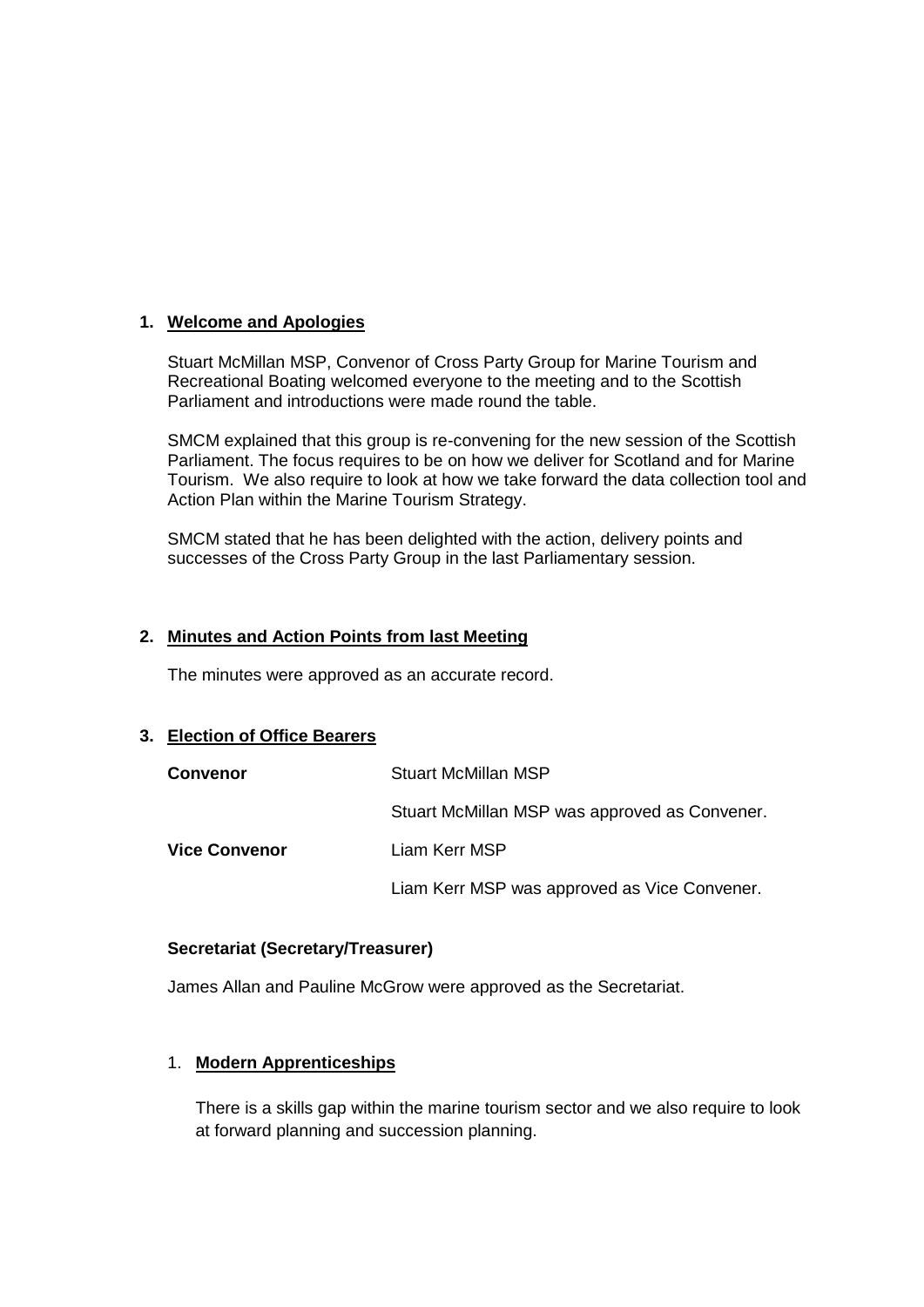#### **1. Welcome and Apologies**

Stuart McMillan MSP, Convenor of Cross Party Group for Marine Tourism and Recreational Boating welcomed everyone to the meeting and to the Scottish Parliament and introductions were made round the table.

SMCM explained that this group is re-convening for the new session of the Scottish Parliament. The focus requires to be on how we deliver for Scotland and for Marine Tourism. We also require to look at how we take forward the data collection tool and Action Plan within the Marine Tourism Strategy.

SMCM stated that he has been delighted with the action, delivery points and successes of the Cross Party Group in the last Parliamentary session.

#### **2. Minutes and Action Points from last Meeting**

The minutes were approved as an accurate record.

#### **3. Election of Office Bearers**

| <b>Convenor</b>      | <b>Stuart McMillan MSP</b>                    |
|----------------------|-----------------------------------------------|
|                      | Stuart McMillan MSP was approved as Convener. |
| <b>Vice Convenor</b> | Liam Kerr MSP                                 |
|                      | Liam Kerr MSP was approved as Vice Convener.  |

#### **Secretariat (Secretary/Treasurer)**

James Allan and Pauline McGrow were approved as the Secretariat.

#### 1. **Modern Apprenticeships**

There is a skills gap within the marine tourism sector and we also require to look at forward planning and succession planning.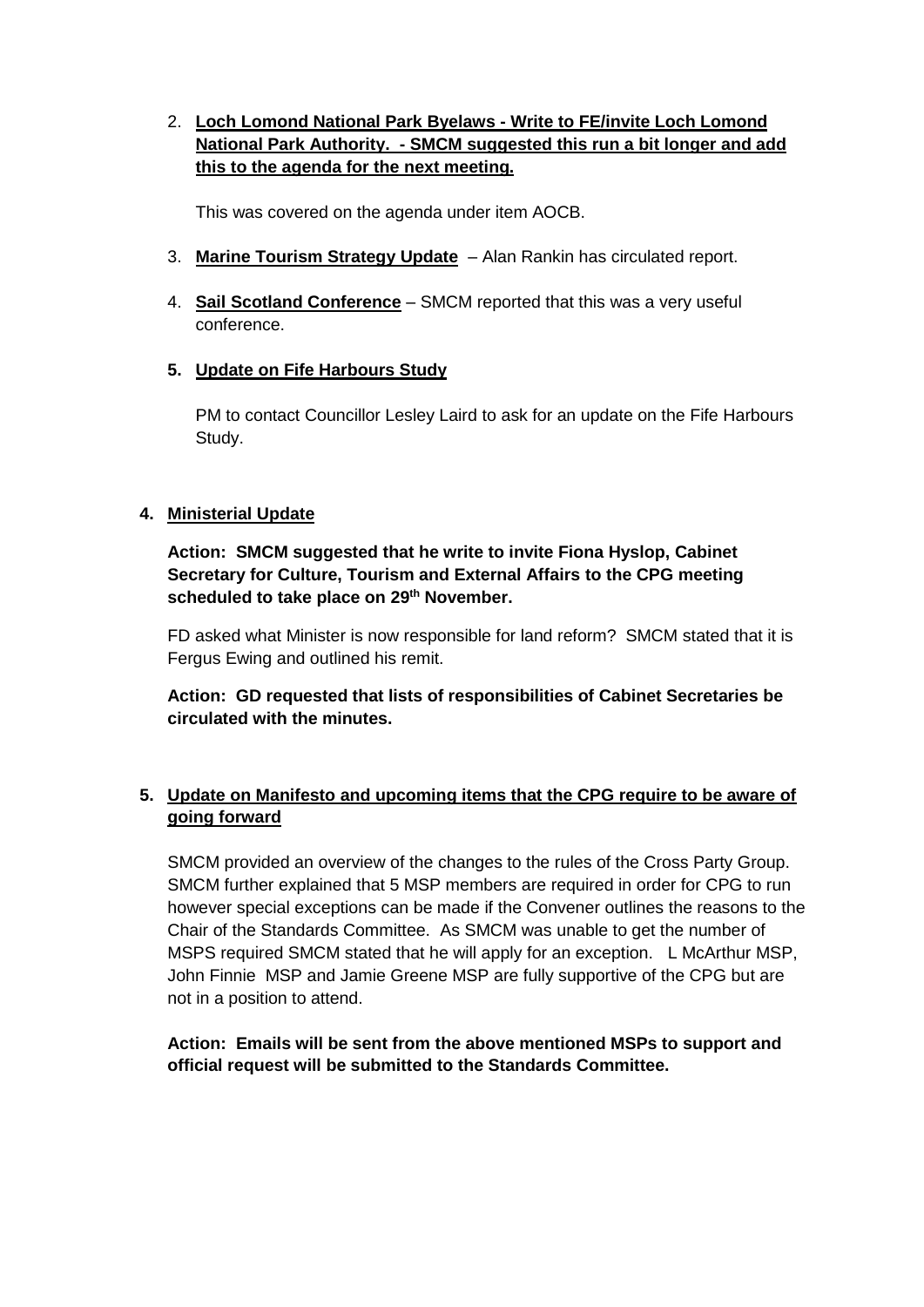## 2. **Loch Lomond National Park Byelaws - Write to FE/invite Loch Lomond National Park Authority. - SMCM suggested this run a bit longer and add this to the agenda for the next meeting.**

This was covered on the agenda under item AOCB.

- 3. **Marine Tourism Strategy Update** Alan Rankin has circulated report.
- 4. **Sail Scotland Conference** SMCM reported that this was a very useful conference.
- **5. Update on Fife Harbours Study**

PM to contact Councillor Lesley Laird to ask for an update on the Fife Harbours Study.

## **4. Ministerial Update**

**Action: SMCM suggested that he write to invite Fiona Hyslop, Cabinet Secretary for Culture, Tourism and External Affairs to the CPG meeting scheduled to take place on 29th November.** 

FD asked what Minister is now responsible for land reform? SMCM stated that it is Fergus Ewing and outlined his remit.

**Action: GD requested that lists of responsibilities of Cabinet Secretaries be circulated with the minutes.**

## **5. Update on Manifesto and upcoming items that the CPG require to be aware of going forward**

SMCM provided an overview of the changes to the rules of the Cross Party Group. SMCM further explained that 5 MSP members are required in order for CPG to run however special exceptions can be made if the Convener outlines the reasons to the Chair of the Standards Committee. As SMCM was unable to get the number of MSPS required SMCM stated that he will apply for an exception. L McArthur MSP, John Finnie MSP and Jamie Greene MSP are fully supportive of the CPG but are not in a position to attend.

**Action: Emails will be sent from the above mentioned MSPs to support and official request will be submitted to the Standards Committee.**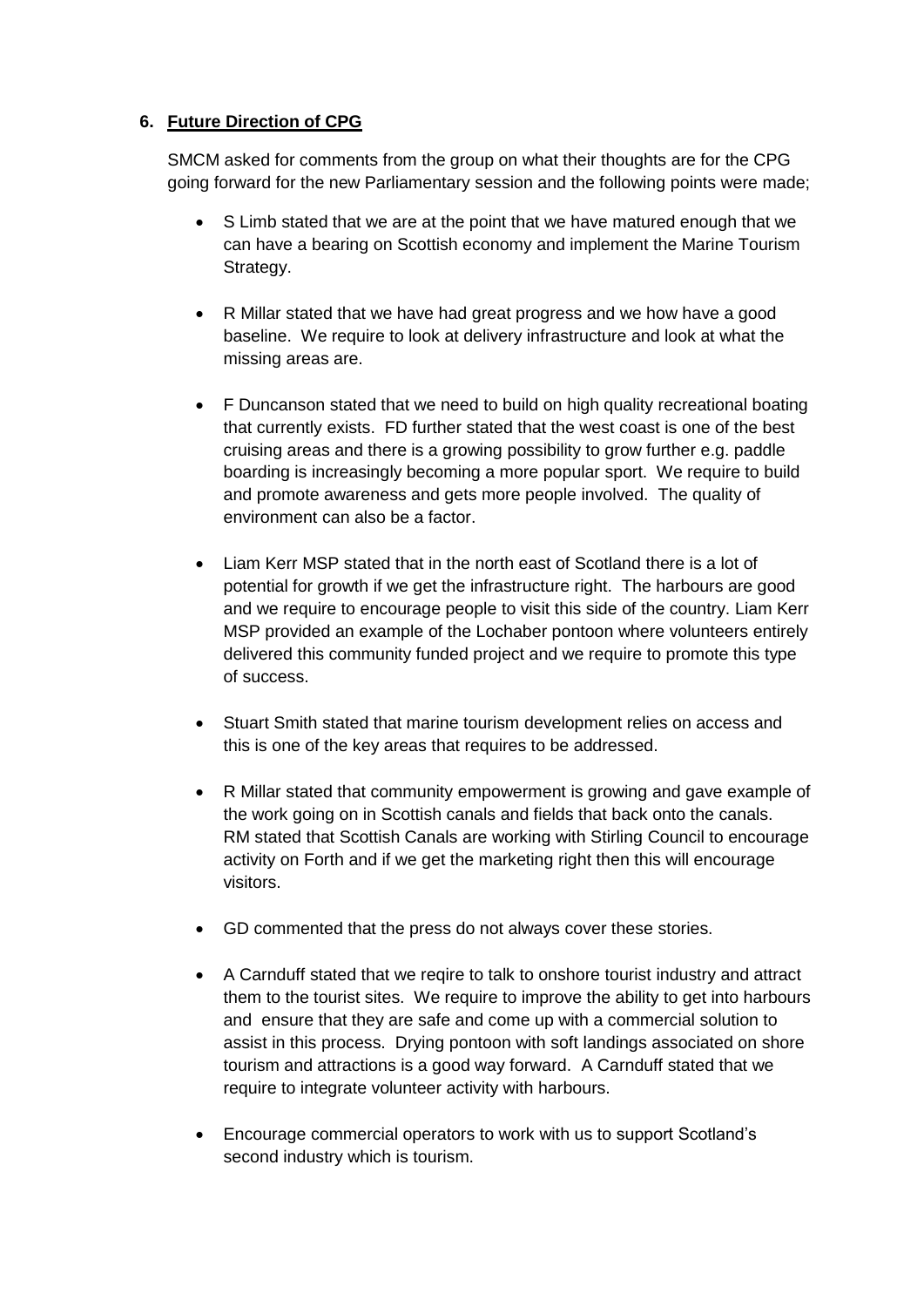## **6. Future Direction of CPG**

SMCM asked for comments from the group on what their thoughts are for the CPG going forward for the new Parliamentary session and the following points were made;

- S Limb stated that we are at the point that we have matured enough that we can have a bearing on Scottish economy and implement the Marine Tourism Strategy.
- R Millar stated that we have had great progress and we how have a good baseline. We require to look at delivery infrastructure and look at what the missing areas are.
- F Duncanson stated that we need to build on high quality recreational boating that currently exists. FD further stated that the west coast is one of the best cruising areas and there is a growing possibility to grow further e.g. paddle boarding is increasingly becoming a more popular sport. We require to build and promote awareness and gets more people involved. The quality of environment can also be a factor.
- Liam Kerr MSP stated that in the north east of Scotland there is a lot of potential for growth if we get the infrastructure right. The harbours are good and we require to encourage people to visit this side of the country. Liam Kerr MSP provided an example of the Lochaber pontoon where volunteers entirely delivered this community funded project and we require to promote this type of success.
- Stuart Smith stated that marine tourism development relies on access and this is one of the key areas that requires to be addressed.
- R Millar stated that community empowerment is growing and gave example of the work going on in Scottish canals and fields that back onto the canals. RM stated that Scottish Canals are working with Stirling Council to encourage activity on Forth and if we get the marketing right then this will encourage visitors.
- GD commented that the press do not always cover these stories.
- A Carnduff stated that we reqire to talk to onshore tourist industry and attract them to the tourist sites. We require to improve the ability to get into harbours and ensure that they are safe and come up with a commercial solution to assist in this process. Drying pontoon with soft landings associated on shore tourism and attractions is a good way forward. A Carnduff stated that we require to integrate volunteer activity with harbours.
- Encourage commercial operators to work with us to support Scotland's second industry which is tourism.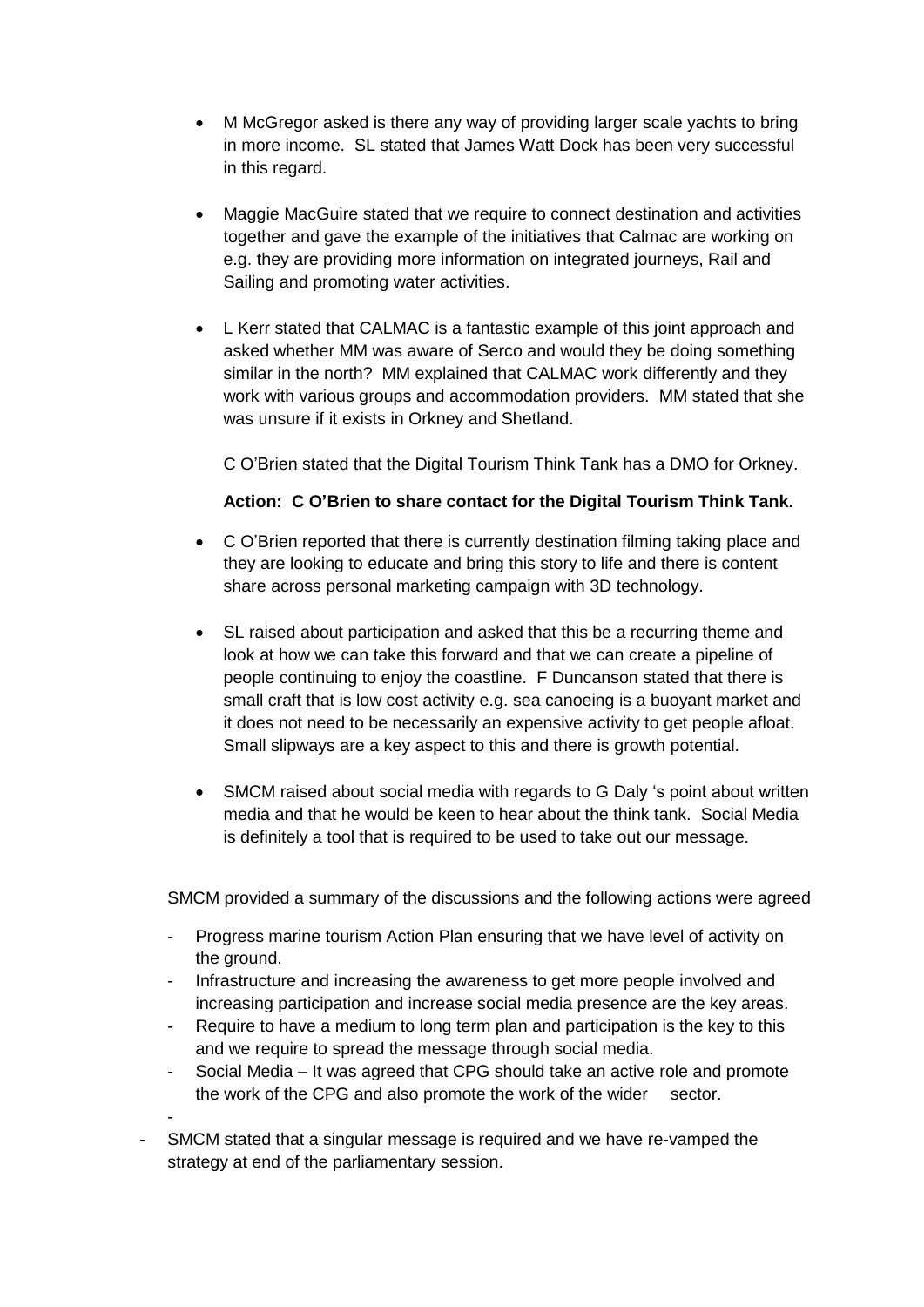- M McGregor asked is there any way of providing larger scale yachts to bring in more income. SL stated that James Watt Dock has been very successful in this regard.
- Maggie MacGuire stated that we require to connect destination and activities together and gave the example of the initiatives that Calmac are working on e.g. they are providing more information on integrated journeys, Rail and Sailing and promoting water activities.
- L Kerr stated that CALMAC is a fantastic example of this joint approach and asked whether MM was aware of Serco and would they be doing something similar in the north? MM explained that CALMAC work differently and they work with various groups and accommodation providers. MM stated that she was unsure if it exists in Orkney and Shetland.

C O'Brien stated that the Digital Tourism Think Tank has a DMO for Orkney.

#### **Action: C O'Brien to share contact for the Digital Tourism Think Tank.**

- C O'Brien reported that there is currently destination filming taking place and they are looking to educate and bring this story to life and there is content share across personal marketing campaign with 3D technology.
- SL raised about participation and asked that this be a recurring theme and look at how we can take this forward and that we can create a pipeline of people continuing to enjoy the coastline. F Duncanson stated that there is small craft that is low cost activity e.g. sea canoeing is a buoyant market and it does not need to be necessarily an expensive activity to get people afloat. Small slipways are a key aspect to this and there is growth potential.
- SMCM raised about social media with regards to G Daly 's point about written media and that he would be keen to hear about the think tank. Social Media is definitely a tool that is required to be used to take out our message.

SMCM provided a summary of the discussions and the following actions were agreed

- Progress marine tourism Action Plan ensuring that we have level of activity on the ground.
- Infrastructure and increasing the awareness to get more people involved and increasing participation and increase social media presence are the key areas.
- Require to have a medium to long term plan and participation is the key to this and we require to spread the message through social media.
- Social Media It was agreed that CPG should take an active role and promote the work of the CPG and also promote the work of the wider sector.
- SMCM stated that a singular message is required and we have re-vamped the strategy at end of the parliamentary session.

-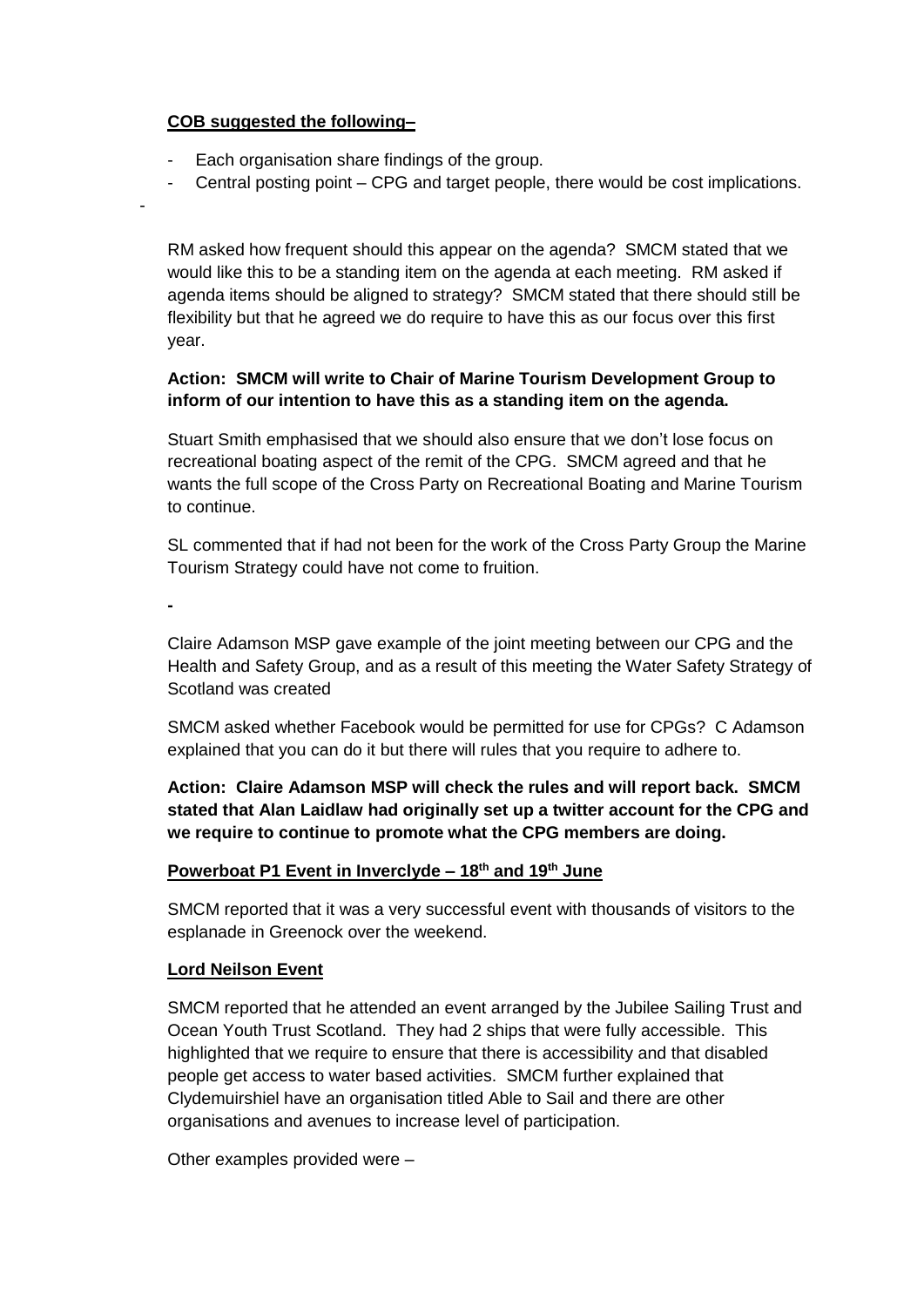### **COB suggested the following–**

- Each organisation share findings of the group.
- Central posting point CPG and target people, there would be cost implications.

RM asked how frequent should this appear on the agenda? SMCM stated that we would like this to be a standing item on the agenda at each meeting. RM asked if agenda items should be aligned to strategy? SMCM stated that there should still be flexibility but that he agreed we do require to have this as our focus over this first year.

### **Action: SMCM will write to Chair of Marine Tourism Development Group to inform of our intention to have this as a standing item on the agenda.**

Stuart Smith emphasised that we should also ensure that we don't lose focus on recreational boating aspect of the remit of the CPG. SMCM agreed and that he wants the full scope of the Cross Party on Recreational Boating and Marine Tourism to continue.

SL commented that if had not been for the work of the Cross Party Group the Marine Tourism Strategy could have not come to fruition.

**-**

-

Claire Adamson MSP gave example of the joint meeting between our CPG and the Health and Safety Group, and as a result of this meeting the Water Safety Strategy of Scotland was created

SMCM asked whether Facebook would be permitted for use for CPGs? C Adamson explained that you can do it but there will rules that you require to adhere to.

**Action: Claire Adamson MSP will check the rules and will report back. SMCM stated that Alan Laidlaw had originally set up a twitter account for the CPG and we require to continue to promote what the CPG members are doing.**

## **Powerboat P1 Event in Inverclyde – 18th and 19th June**

SMCM reported that it was a very successful event with thousands of visitors to the esplanade in Greenock over the weekend.

#### **Lord Neilson Event**

SMCM reported that he attended an event arranged by the Jubilee Sailing Trust and Ocean Youth Trust Scotland. They had 2 ships that were fully accessible. This highlighted that we require to ensure that there is accessibility and that disabled people get access to water based activities. SMCM further explained that Clydemuirshiel have an organisation titled Able to Sail and there are other organisations and avenues to increase level of participation.

Other examples provided were –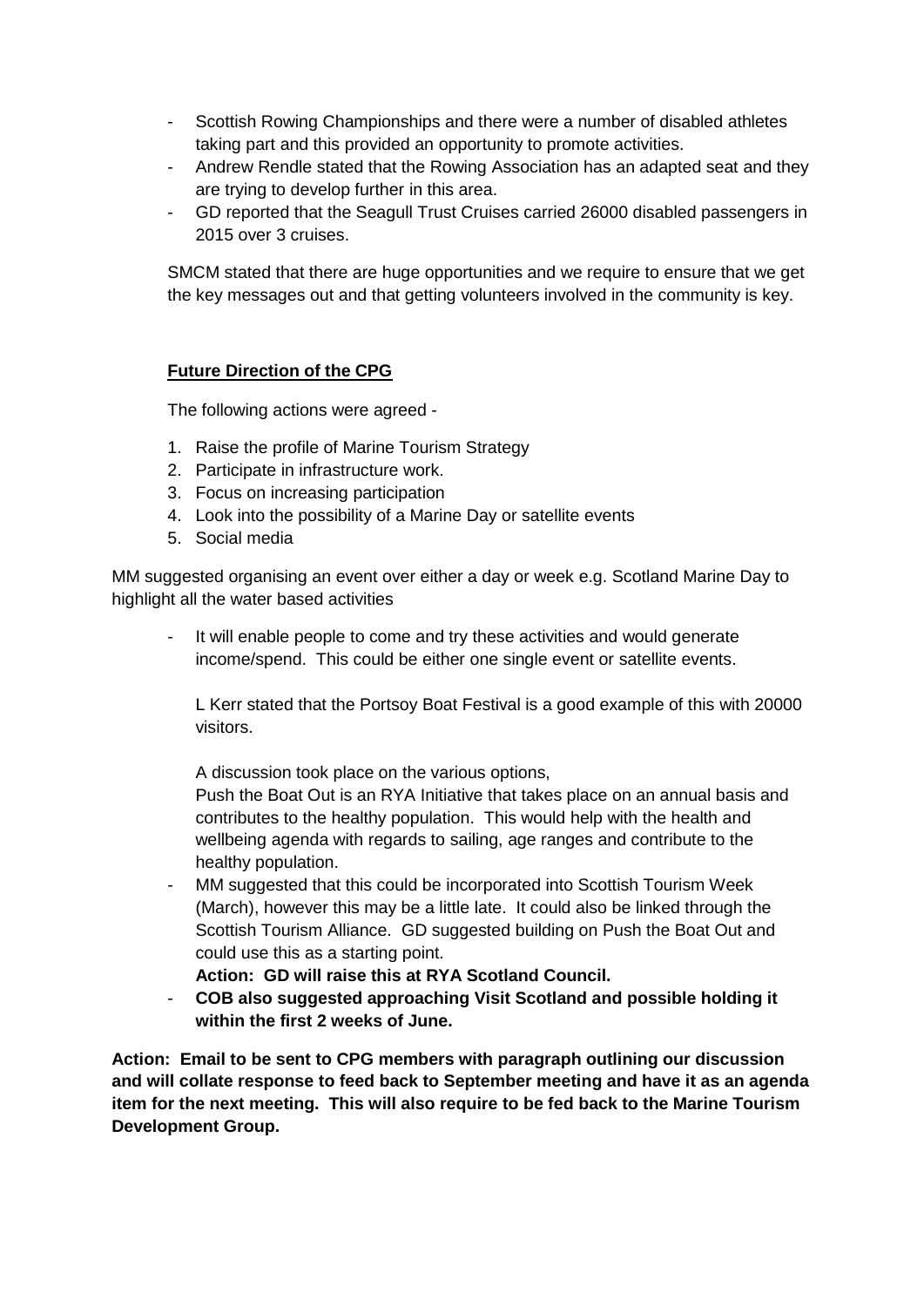- Scottish Rowing Championships and there were a number of disabled athletes taking part and this provided an opportunity to promote activities.
- Andrew Rendle stated that the Rowing Association has an adapted seat and they are trying to develop further in this area.
- GD reported that the Seagull Trust Cruises carried 26000 disabled passengers in 2015 over 3 cruises.

SMCM stated that there are huge opportunities and we require to ensure that we get the key messages out and that getting volunteers involved in the community is key.

## **Future Direction of the CPG**

The following actions were agreed -

- 1. Raise the profile of Marine Tourism Strategy
- 2. Participate in infrastructure work.
- 3. Focus on increasing participation
- 4. Look into the possibility of a Marine Day or satellite events
- 5. Social media

MM suggested organising an event over either a day or week e.g. Scotland Marine Day to highlight all the water based activities

It will enable people to come and try these activities and would generate income/spend. This could be either one single event or satellite events.

L Kerr stated that the Portsoy Boat Festival is a good example of this with 20000 visitors.

A discussion took place on the various options,

Push the Boat Out is an RYA Initiative that takes place on an annual basis and contributes to the healthy population. This would help with the health and wellbeing agenda with regards to sailing, age ranges and contribute to the healthy population.

- MM suggested that this could be incorporated into Scottish Tourism Week (March), however this may be a little late. It could also be linked through the Scottish Tourism Alliance. GD suggested building on Push the Boat Out and could use this as a starting point.
	- **Action: GD will raise this at RYA Scotland Council.**
- **COB also suggested approaching Visit Scotland and possible holding it within the first 2 weeks of June.**

**Action: Email to be sent to CPG members with paragraph outlining our discussion and will collate response to feed back to September meeting and have it as an agenda item for the next meeting. This will also require to be fed back to the Marine Tourism Development Group.**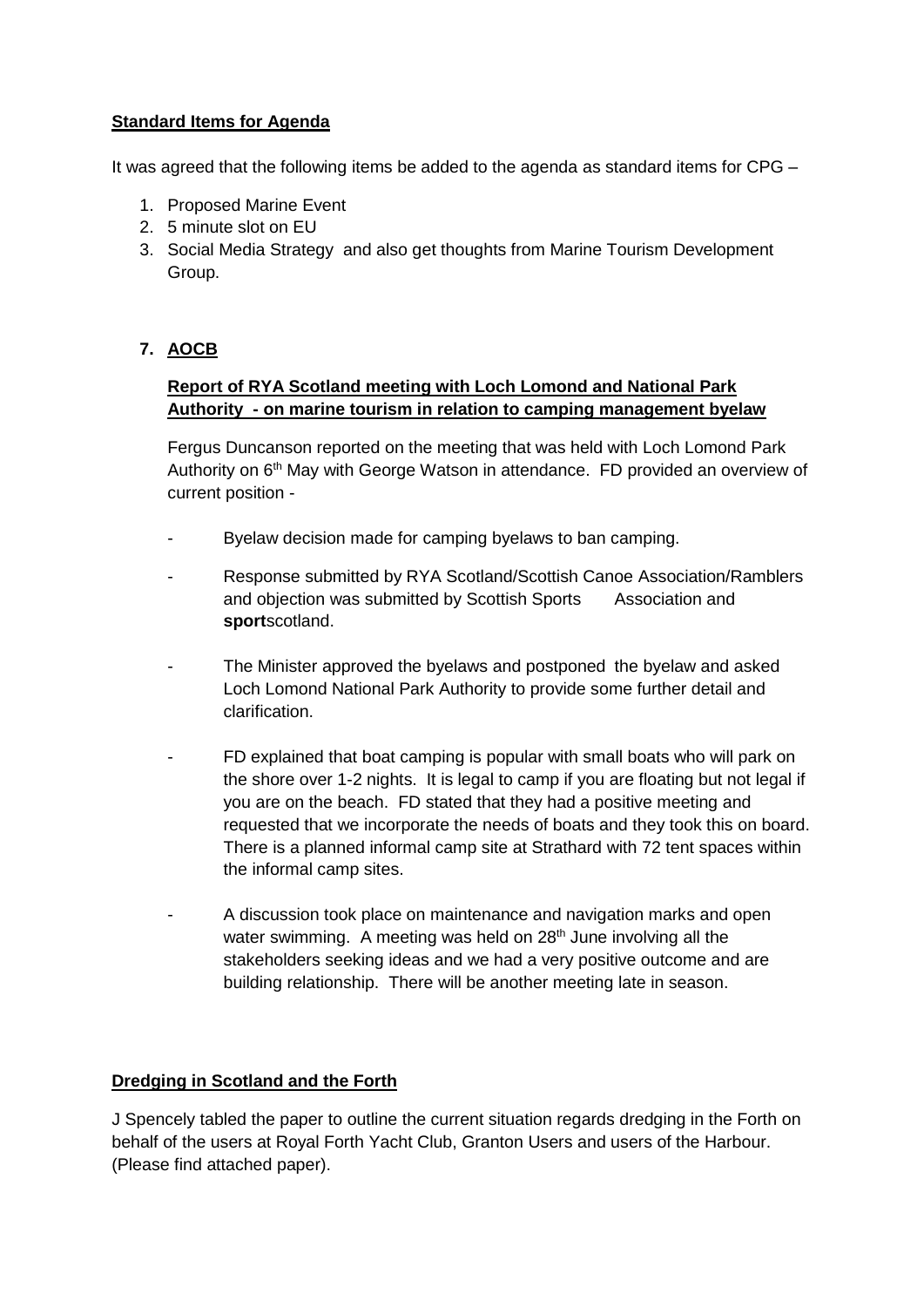## **Standard Items for Agenda**

It was agreed that the following items be added to the agenda as standard items for CPG –

- 1. Proposed Marine Event
- 2. 5 minute slot on EU
- 3. Social Media Strategy and also get thoughts from Marine Tourism Development Group.

# **7. AOCB**

## **Report of RYA Scotland meeting with Loch Lomond and National Park Authority - on marine tourism in relation to camping management byelaw**

Fergus Duncanson reported on the meeting that was held with Loch Lomond Park Authority on 6<sup>th</sup> May with George Watson in attendance. FD provided an overview of current position -

- Byelaw decision made for camping byelaws to ban camping.
- Response submitted by RYA Scotland/Scottish Canoe Association/Ramblers and objection was submitted by Scottish Sports Association and **sport**scotland.
- The Minister approved the byelaws and postponed the byelaw and asked Loch Lomond National Park Authority to provide some further detail and clarification.
- FD explained that boat camping is popular with small boats who will park on the shore over 1-2 nights. It is legal to camp if you are floating but not legal if you are on the beach. FD stated that they had a positive meeting and requested that we incorporate the needs of boats and they took this on board. There is a planned informal camp site at Strathard with 72 tent spaces within the informal camp sites.
- A discussion took place on maintenance and navigation marks and open water swimming. A meeting was held on 28<sup>th</sup> June involving all the stakeholders seeking ideas and we had a very positive outcome and are building relationship. There will be another meeting late in season.

## **Dredging in Scotland and the Forth**

J Spencely tabled the paper to outline the current situation regards dredging in the Forth on behalf of the users at Royal Forth Yacht Club, Granton Users and users of the Harbour. (Please find attached paper).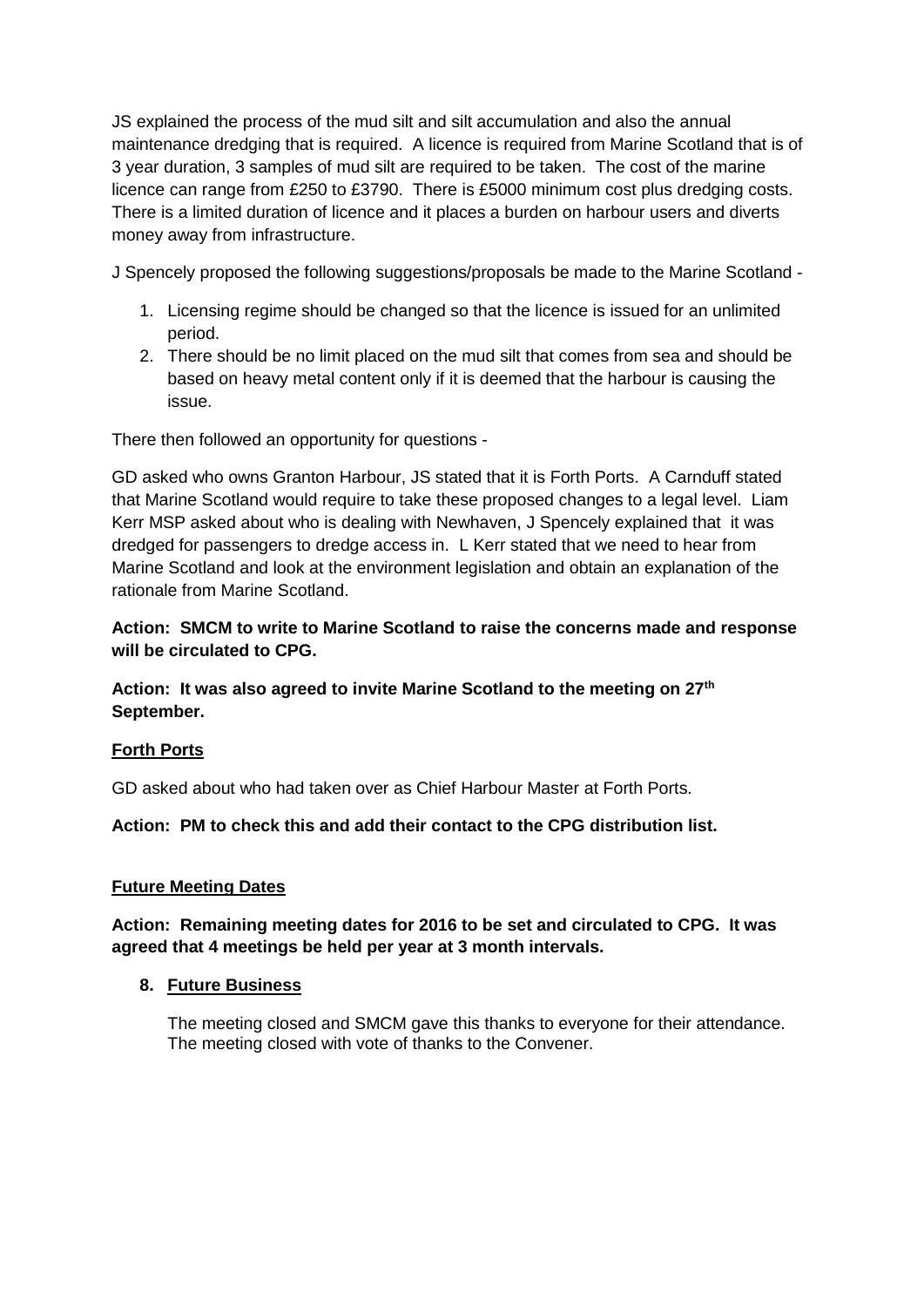JS explained the process of the mud silt and silt accumulation and also the annual maintenance dredging that is required. A licence is required from Marine Scotland that is of 3 year duration, 3 samples of mud silt are required to be taken. The cost of the marine licence can range from £250 to £3790. There is £5000 minimum cost plus dredging costs. There is a limited duration of licence and it places a burden on harbour users and diverts money away from infrastructure.

J Spencely proposed the following suggestions/proposals be made to the Marine Scotland -

- 1. Licensing regime should be changed so that the licence is issued for an unlimited period.
- 2. There should be no limit placed on the mud silt that comes from sea and should be based on heavy metal content only if it is deemed that the harbour is causing the issue.

There then followed an opportunity for questions -

GD asked who owns Granton Harbour, JS stated that it is Forth Ports. A Carnduff stated that Marine Scotland would require to take these proposed changes to a legal level. Liam Kerr MSP asked about who is dealing with Newhaven, J Spencely explained that it was dredged for passengers to dredge access in. L Kerr stated that we need to hear from Marine Scotland and look at the environment legislation and obtain an explanation of the rationale from Marine Scotland.

### **Action: SMCM to write to Marine Scotland to raise the concerns made and response will be circulated to CPG.**

**Action: It was also agreed to invite Marine Scotland to the meeting on 27th September.**

## **Forth Ports**

GD asked about who had taken over as Chief Harbour Master at Forth Ports.

**Action: PM to check this and add their contact to the CPG distribution list.**

#### **Future Meeting Dates**

**Action: Remaining meeting dates for 2016 to be set and circulated to CPG. It was agreed that 4 meetings be held per year at 3 month intervals.**

#### **8. Future Business**

The meeting closed and SMCM gave this thanks to everyone for their attendance. The meeting closed with vote of thanks to the Convener.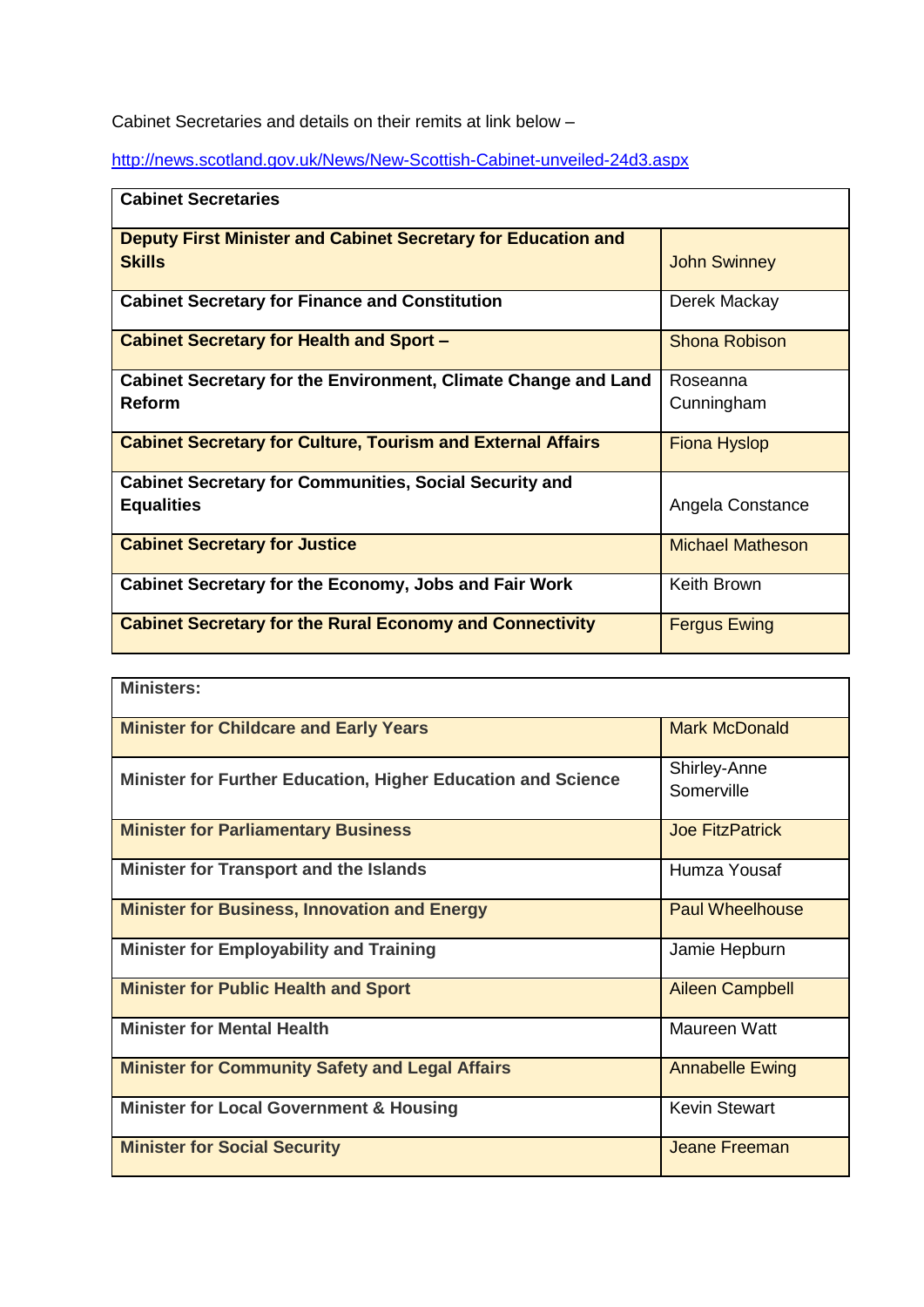Cabinet Secretaries and details on their remits at link below –

<http://news.scotland.gov.uk/News/New-Scottish-Cabinet-unveiled-24d3.aspx>

| <b>Cabinet Secretaries</b>                                                     |                         |  |
|--------------------------------------------------------------------------------|-------------------------|--|
| Deputy First Minister and Cabinet Secretary for Education and<br><b>Skills</b> | <b>John Swinney</b>     |  |
| <b>Cabinet Secretary for Finance and Constitution</b>                          | Derek Mackay            |  |
| <b>Cabinet Secretary for Health and Sport -</b>                                | <b>Shona Robison</b>    |  |
| Cabinet Secretary for the Environment, Climate Change and Land                 | Roseanna                |  |
| <b>Reform</b>                                                                  | Cunningham              |  |
| <b>Cabinet Secretary for Culture, Tourism and External Affairs</b>             | <b>Fiona Hyslop</b>     |  |
| <b>Cabinet Secretary for Communities, Social Security and</b>                  |                         |  |
| <b>Equalities</b>                                                              | Angela Constance        |  |
| <b>Cabinet Secretary for Justice</b>                                           | <b>Michael Matheson</b> |  |
| <b>Cabinet Secretary for the Economy, Jobs and Fair Work</b>                   | Keith Brown             |  |
| <b>Cabinet Secretary for the Rural Economy and Connectivity</b>                | <b>Fergus Ewing</b>     |  |

| <b>Ministers:</b>                                            |                            |
|--------------------------------------------------------------|----------------------------|
| <b>Minister for Childcare and Early Years</b>                | <b>Mark McDonald</b>       |
| Minister for Further Education, Higher Education and Science | Shirley-Anne<br>Somerville |
| <b>Minister for Parliamentary Business</b>                   | <b>Joe FitzPatrick</b>     |
| <b>Minister for Transport and the Islands</b>                | Humza Yousaf               |
| <b>Minister for Business, Innovation and Energy</b>          | <b>Paul Wheelhouse</b>     |
| <b>Minister for Employability and Training</b>               | Jamie Hepburn              |
| <b>Minister for Public Health and Sport</b>                  | <b>Aileen Campbell</b>     |
| <b>Minister for Mental Health</b>                            | <b>Maureen Watt</b>        |
| <b>Minister for Community Safety and Legal Affairs</b>       | <b>Annabelle Ewing</b>     |
| <b>Minister for Local Government &amp; Housing</b>           | <b>Kevin Stewart</b>       |
| <b>Minister for Social Security</b>                          | Jeane Freeman              |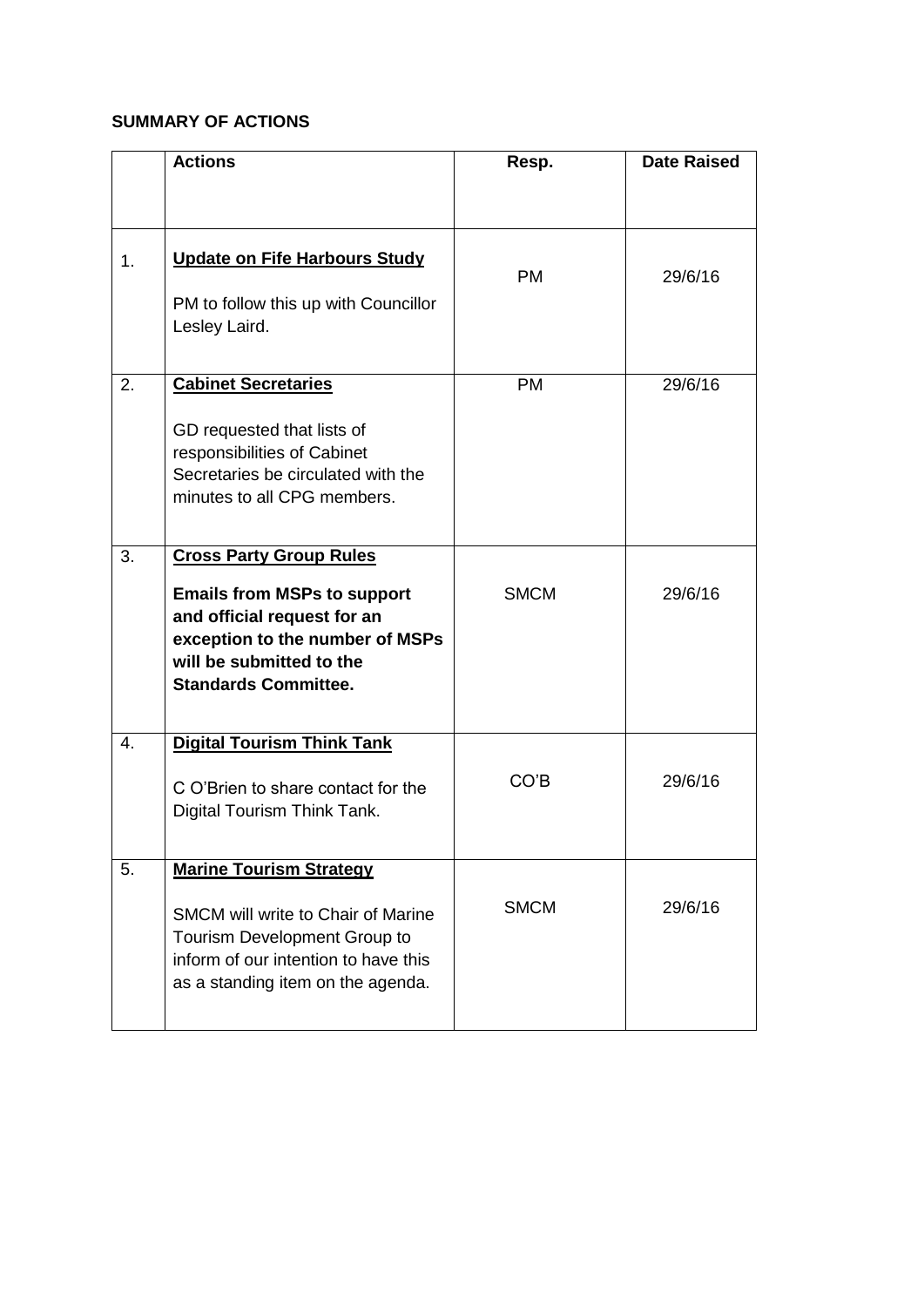#### **SUMMARY OF ACTIONS**

|    | <b>Actions</b>                                                                                                                                                  | Resp.       | <b>Date Raised</b> |
|----|-----------------------------------------------------------------------------------------------------------------------------------------------------------------|-------------|--------------------|
|    |                                                                                                                                                                 |             |                    |
| 1. | <b>Update on Fife Harbours Study</b><br>PM to follow this up with Councillor                                                                                    | <b>PM</b>   | 29/6/16            |
|    | Lesley Laird.                                                                                                                                                   |             |                    |
| 2. | <b>Cabinet Secretaries</b>                                                                                                                                      | <b>PM</b>   | 29/6/16            |
|    | GD requested that lists of<br>responsibilities of Cabinet<br>Secretaries be circulated with the<br>minutes to all CPG members.                                  |             |                    |
|    |                                                                                                                                                                 |             |                    |
| 3. | <b>Cross Party Group Rules</b>                                                                                                                                  |             |                    |
|    | <b>Emails from MSPs to support</b><br>and official request for an<br>exception to the number of MSPs<br>will be submitted to the<br><b>Standards Committee.</b> | <b>SMCM</b> | 29/6/16            |
| 4. | <b>Digital Tourism Think Tank</b>                                                                                                                               |             |                    |
|    | C O'Brien to share contact for the<br>Digital Tourism Think Tank.                                                                                               | CO'B        | 29/6/16            |
| 5. | <b>Marine Tourism Strategy</b>                                                                                                                                  |             |                    |
|    | SMCM will write to Chair of Marine<br>Tourism Development Group to<br>inform of our intention to have this<br>as a standing item on the agenda.                 | <b>SMCM</b> | 29/6/16            |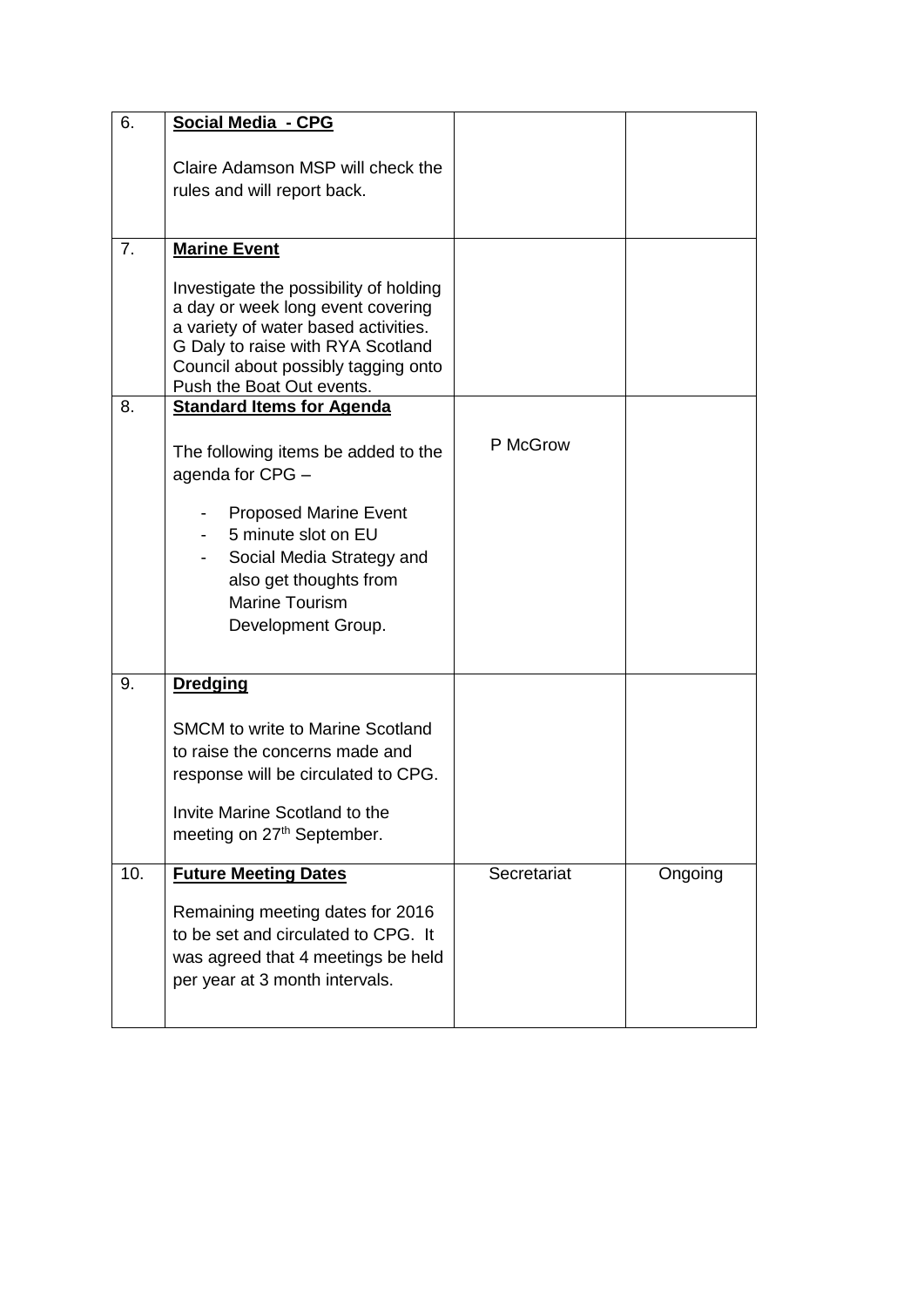| 6.  | <b>Social Media - CPG</b>                                                                                                                                                                                                    |             |         |
|-----|------------------------------------------------------------------------------------------------------------------------------------------------------------------------------------------------------------------------------|-------------|---------|
|     | Claire Adamson MSP will check the<br>rules and will report back.                                                                                                                                                             |             |         |
| 7.  | <b>Marine Event</b>                                                                                                                                                                                                          |             |         |
|     | Investigate the possibility of holding<br>a day or week long event covering<br>a variety of water based activities.<br>G Daly to raise with RYA Scotland<br>Council about possibly tagging onto<br>Push the Boat Out events. |             |         |
| 8.  | <b>Standard Items for Agenda</b>                                                                                                                                                                                             |             |         |
|     | The following items be added to the<br>agenda for CPG -                                                                                                                                                                      | P McGrow    |         |
|     | <b>Proposed Marine Event</b>                                                                                                                                                                                                 |             |         |
|     | 5 minute slot on EU<br>Social Media Strategy and                                                                                                                                                                             |             |         |
|     | also get thoughts from                                                                                                                                                                                                       |             |         |
|     | Marine Tourism<br>Development Group.                                                                                                                                                                                         |             |         |
| 9.  | <b>Dredging</b>                                                                                                                                                                                                              |             |         |
|     | <b>SMCM to write to Marine Scotland</b>                                                                                                                                                                                      |             |         |
|     | to raise the concerns made and<br>response will be circulated to CPG.                                                                                                                                                        |             |         |
|     | Invite Marine Scotland to the                                                                                                                                                                                                |             |         |
|     | meeting on 27 <sup>th</sup> September.                                                                                                                                                                                       |             |         |
| 10. | <b>Future Meeting Dates</b>                                                                                                                                                                                                  | Secretariat | Ongoing |
|     | Remaining meeting dates for 2016<br>to be set and circulated to CPG. It<br>was agreed that 4 meetings be held<br>per year at 3 month intervals.                                                                              |             |         |
|     |                                                                                                                                                                                                                              |             |         |